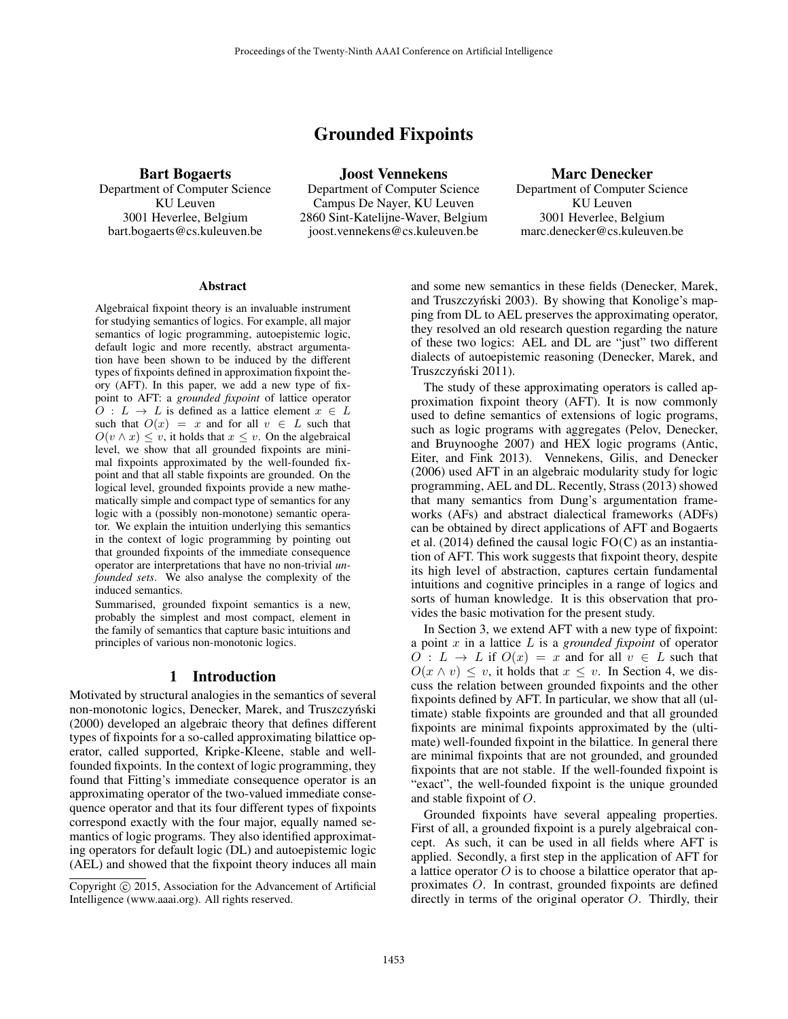# Grounded Fixpoints

Bart Bogaerts

Department of Computer Science KU Leuven 3001 Heverlee, Belgium bart.bogaerts@cs.kuleuven.be

Joost Vennekens Department of Computer Science Campus De Nayer, KU Leuven 2860 Sint-Katelijne-Waver, Belgium joost.vennekens@cs.kuleuven.be

Marc Denecker Department of Computer Science KU Leuven 3001 Heverlee, Belgium marc.denecker@cs.kuleuven.be

#### Abstract

Algebraical fixpoint theory is an invaluable instrument for studying semantics of logics. For example, all major semantics of logic programming, autoepistemic logic, default logic and more recently, abstract argumentation have been shown to be induced by the different types of fixpoints defined in approximation fixpoint theory (AFT). In this paper, we add a new type of fixpoint to AFT: a *grounded fixpoint* of lattice operator  $O: L \to L$  is defined as a lattice element  $x \in L$ such that  $O(x) = x$  and for all  $v \in L$  such that  $O(v \wedge x) \leq v$ , it holds that  $x \leq v$ . On the algebraical level, we show that all grounded fixpoints are minimal fixpoints approximated by the well-founded fixpoint and that all stable fixpoints are grounded. On the logical level, grounded fixpoints provide a new mathematically simple and compact type of semantics for any logic with a (possibly non-monotone) semantic operator. We explain the intuition underlying this semantics in the context of logic programming by pointing out that grounded fixpoints of the immediate consequence operator are interpretations that have no non-trivial *unfounded sets*. We also analyse the complexity of the induced semantics.

Summarised, grounded fixpoint semantics is a new, probably the simplest and most compact, element in the family of semantics that capture basic intuitions and principles of various non-monotonic logics.

# 1 Introduction

Motivated by structural analogies in the semantics of several non-monotonic logics, Denecker, Marek, and Truszczyński (2000) developed an algebraic theory that defines different types of fixpoints for a so-called approximating bilattice operator, called supported, Kripke-Kleene, stable and wellfounded fixpoints. In the context of logic programming, they found that Fitting's immediate consequence operator is an approximating operator of the two-valued immediate consequence operator and that its four different types of fixpoints correspond exactly with the four major, equally named semantics of logic programs. They also identified approximating operators for default logic (DL) and autoepistemic logic (AEL) and showed that the fixpoint theory induces all main

and some new semantics in these fields (Denecker, Marek, and Truszczyński 2003). By showing that Konolige's mapping from DL to AEL preserves the approximating operator, they resolved an old research question regarding the nature of these two logics: AEL and DL are "just" two different dialects of autoepistemic reasoning (Denecker, Marek, and Truszczyński 2011).

The study of these approximating operators is called approximation fixpoint theory (AFT). It is now commonly used to define semantics of extensions of logic programs, such as logic programs with aggregates (Pelov, Denecker, and Bruynooghe 2007) and HEX logic programs (Antic, Eiter, and Fink 2013). Vennekens, Gilis, and Denecker (2006) used AFT in an algebraic modularity study for logic programming, AEL and DL. Recently, Strass (2013) showed that many semantics from Dung's argumentation frameworks (AFs) and abstract dialectical frameworks (ADFs) can be obtained by direct applications of AFT and Bogaerts et al.  $(2014)$  defined the causal logic  $FO(C)$  as an instantiation of AFT. This work suggests that fixpoint theory, despite its high level of abstraction, captures certain fundamental intuitions and cognitive principles in a range of logics and sorts of human knowledge. It is this observation that provides the basic motivation for the present study.

In Section 3, we extend AFT with a new type of fixpoint: a point x in a lattice L is a *grounded fixpoint* of operator  $O: L \to L$  if  $O(x) = x$  and for all  $v \in L$  such that  $O(x \wedge v) \leq v$ , it holds that  $x \leq v$ . In Section 4, we discuss the relation between grounded fixpoints and the other fixpoints defined by AFT. In particular, we show that all (ultimate) stable fixpoints are grounded and that all grounded fixpoints are minimal fixpoints approximated by the (ultimate) well-founded fixpoint in the bilattice. In general there are minimal fixpoints that are not grounded, and grounded fixpoints that are not stable. If the well-founded fixpoint is "exact", the well-founded fixpoint is the unique grounded and stable fixpoint of O.

Grounded fixpoints have several appealing properties. First of all, a grounded fixpoint is a purely algebraical concept. As such, it can be used in all fields where AFT is applied. Secondly, a first step in the application of AFT for a lattice operator  $O$  is to choose a bilattice operator that approximates O. In contrast, grounded fixpoints are defined directly in terms of the original operator  $O$ . Thirdly, their

Copyright © 2015, Association for the Advancement of Artificial Intelligence (www.aaai.org). All rights reserved.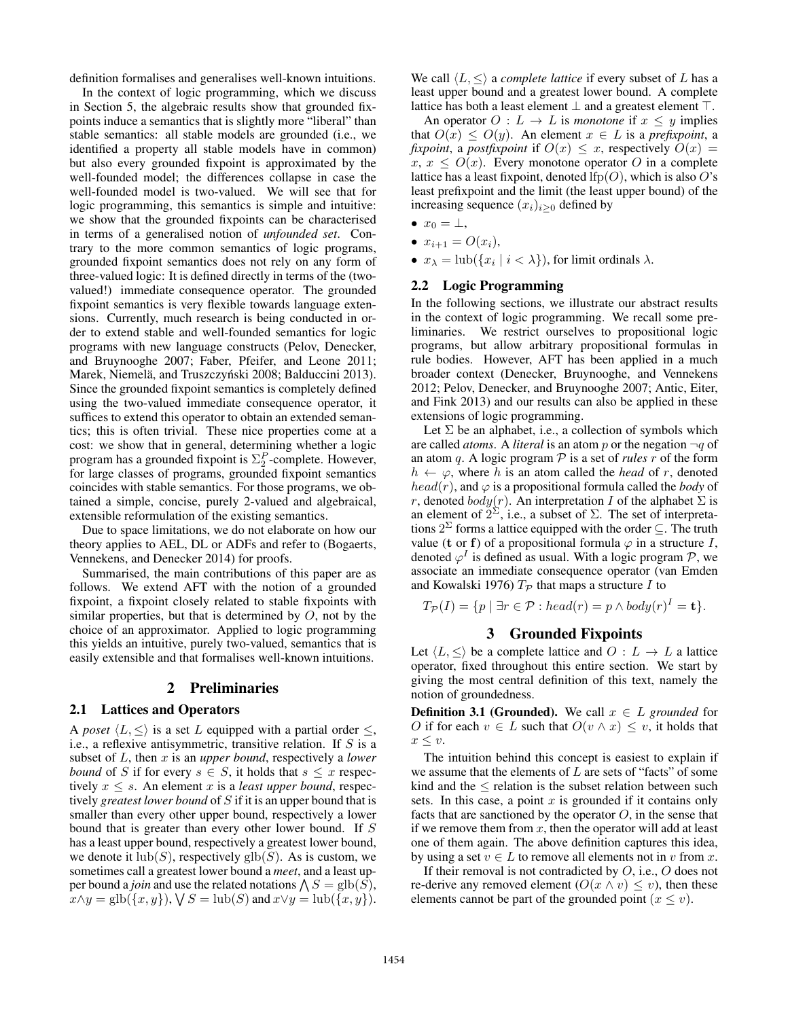definition formalises and generalises well-known intuitions.

In the context of logic programming, which we discuss in Section 5, the algebraic results show that grounded fixpoints induce a semantics that is slightly more "liberal" than stable semantics: all stable models are grounded (i.e., we identified a property all stable models have in common) but also every grounded fixpoint is approximated by the well-founded model; the differences collapse in case the well-founded model is two-valued. We will see that for logic programming, this semantics is simple and intuitive: we show that the grounded fixpoints can be characterised in terms of a generalised notion of *unfounded set*. Contrary to the more common semantics of logic programs, grounded fixpoint semantics does not rely on any form of three-valued logic: It is defined directly in terms of the (twovalued!) immediate consequence operator. The grounded fixpoint semantics is very flexible towards language extensions. Currently, much research is being conducted in order to extend stable and well-founded semantics for logic programs with new language constructs (Pelov, Denecker, and Bruynooghe 2007; Faber, Pfeifer, and Leone 2011; Marek, Niemelä, and Truszczyński 2008; Balduccini 2013). Since the grounded fixpoint semantics is completely defined using the two-valued immediate consequence operator, it suffices to extend this operator to obtain an extended semantics; this is often trivial. These nice properties come at a cost: we show that in general, determining whether a logic program has a grounded fixpoint is  $\Sigma_2^P$ -complete. However, for large classes of programs, grounded fixpoint semantics coincides with stable semantics. For those programs, we obtained a simple, concise, purely 2-valued and algebraical, extensible reformulation of the existing semantics.

Due to space limitations, we do not elaborate on how our theory applies to AEL, DL or ADFs and refer to (Bogaerts, Vennekens, and Denecker 2014) for proofs.

Summarised, the main contributions of this paper are as follows. We extend AFT with the notion of a grounded fixpoint, a fixpoint closely related to stable fixpoints with similar properties, but that is determined by  $O$ , not by the choice of an approximator. Applied to logic programming this yields an intuitive, purely two-valued, semantics that is easily extensible and that formalises well-known intuitions.

#### 2 Preliminaries

# 2.1 Lattices and Operators

A *poset*  $\langle L, \leq \rangle$  is a set L equipped with a partial order  $\leq$ , i.e., a reflexive antisymmetric, transitive relation. If  $S$  is a subset of L, then x is an *upper bound*, respectively a *lower bound* of S if for every  $s \in S$ , it holds that  $s \leq x$  respectively  $x \leq s$ . An element x is a *least upper bound*, respectively *greatest lower bound* of S if it is an upper bound that is smaller than every other upper bound, respectively a lower bound that is greater than every other lower bound. If S has a least upper bound, respectively a greatest lower bound, we denote it  $\text{lub}(S)$ , respectively  $\text{glb}(S)$ . As is custom, we sometimes call a greatest lower bound a *meet*, and a least upper bound a *join* and use the related notations  $\bigwedge S = \text{glb}(S)$ ,  $x \wedge y = \text{glb}(\{x, y\}), \forall S = \text{lub}(S)$  and  $x \vee y = \text{lub}(\{x, y\}).$ 

We call  $\langle L, \leq \rangle$  a *complete lattice* if every subset of L has a least upper bound and a greatest lower bound. A complete lattice has both a least element  $\perp$  and a greatest element  $\top$ .

An operator  $O: L \to L$  is *monotone* if  $x \leq y$  implies that  $O(x) \leq O(y)$ . An element  $x \in L$  is a *prefixpoint*, a *fixpoint*, a *postfixpoint* if  $O(x) \leq x$ , respectively  $O(x) =$  $x, x \leq O(x)$ . Every monotone operator O in a complete lattice has a least fixpoint, denoted  $lfp(O)$ , which is also O's least prefixpoint and the limit (the least upper bound) of the increasing sequence  $(x_i)_{i>0}$  defined by

- $x_0 = \perp$ ,
- $x_{i+1} = O(x_i)$ ,
- $x_{\lambda} = \text{lub}(\{x_i \mid i < \lambda\})$ , for limit ordinals  $\lambda$ .

#### 2.2 Logic Programming

In the following sections, we illustrate our abstract results in the context of logic programming. We recall some preliminaries. We restrict ourselves to propositional logic programs, but allow arbitrary propositional formulas in rule bodies. However, AFT has been applied in a much broader context (Denecker, Bruynooghe, and Vennekens 2012; Pelov, Denecker, and Bruynooghe 2007; Antic, Eiter, and Fink 2013) and our results can also be applied in these extensions of logic programming.

Let  $\Sigma$  be an alphabet, i.e., a collection of symbols which are called *atoms*. A *literal* is an atom p or the negation  $\neg q$  of an atom q. A logic program  $P$  is a set of *rules*  $r$  of the form  $h \leftarrow \varphi$ , where h is an atom called the head of r, denoted  $head(r)$ , and  $\varphi$  is a propositional formula called the *body* of r, denoted  $body(r)$ . An interpretation I of the alphabet  $\Sigma$  is an element of  $2^{\Sigma}$ , i.e., a subset of  $\Sigma$ . The set of interpretations  $2^{\Sigma}$  forms a lattice equipped with the order  $\subseteq$ . The truth value (t or f) of a propositional formula  $\varphi$  in a structure I, denoted  $\varphi^I$  is defined as usual. With a logic program  $\mathcal{P}$ , we associate an immediate consequence operator (van Emden and Kowalski 1976)  $T_p$  that maps a structure I to

$$
T_{\mathcal{P}}(I) = \{p \mid \exists r \in \mathcal{P} : head(r) = p \land body(r)^{I} = \mathbf{t}\}.
$$

## 3 Grounded Fixpoints

Let  $\langle L, \leq \rangle$  be a complete lattice and  $O: L \to L$  a lattice operator, fixed throughout this entire section. We start by giving the most central definition of this text, namely the notion of groundedness.

**Definition 3.1 (Grounded).** We call  $x \in L$  *grounded* for O if for each  $v \in L$  such that  $O(v \wedge x) \leq v$ , it holds that  $x \leq v$ .

The intuition behind this concept is easiest to explain if we assume that the elements of  $L$  are sets of "facts" of some kind and the  $\leq$  relation is the subset relation between such sets. In this case, a point  $x$  is grounded if it contains only facts that are sanctioned by the operator  $O$ , in the sense that if we remove them from  $x$ , then the operator will add at least one of them again. The above definition captures this idea, by using a set  $v \in L$  to remove all elements not in v from x.

If their removal is not contradicted by  $O$ , i.e.,  $O$  does not re-derive any removed element  $(O(x \wedge v) \leq v)$ , then these elements cannot be part of the grounded point  $(x \le v)$ .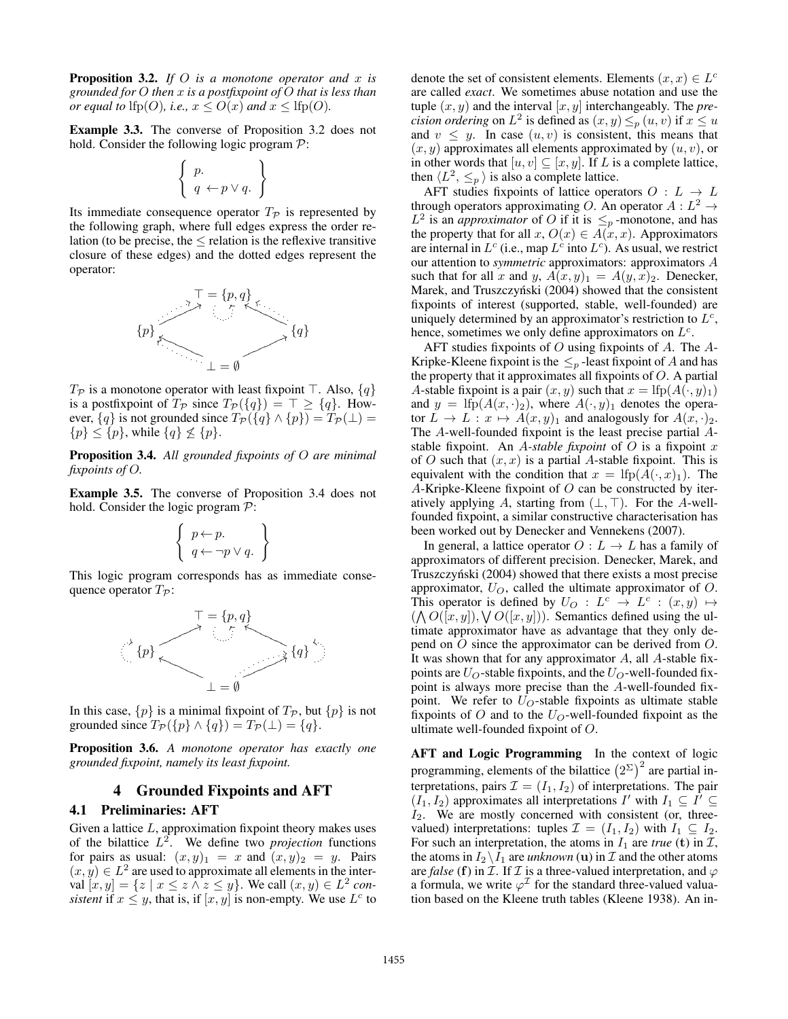Proposition 3.2. *If* O *is a monotone operator and* x *is grounded for* O *then* x *is a postfixpoint of* O *that is less than or equal to*  $\text{lfp}(O)$ *, i.e.,*  $x \leq O(x)$  *and*  $x \leq \text{lfp}(O)$ *.* 

Example 3.3. The converse of Proposition 3.2 does not hold. Consider the following logic program  $P$ :

$$
\left\{\begin{array}{c}p.\\q \leftarrow p \vee q. \end{array}\right\}
$$

Its immediate consequence operator  $T_p$  is represented by the following graph, where full edges express the order relation (to be precise, the  $\leq$  relation is the reflexive transitive closure of these edges) and the dotted edges represent the operator:



 $T_{\mathcal{P}}$  is a monotone operator with least fixpoint  $\top$ . Also,  $\{q\}$ is a postfixpoint of  $T_{\mathcal{P}}$  since  $T_{\mathcal{P}}(\lbrace q \rbrace) = \top \geq \lbrace q \rbrace$ . However,  $\{q\}$  is not grounded since  $T_P(\{q\} \wedge \{p\}) = T_P(\perp) =$  $\{p\} \leq \{p\}$ , while  $\{q\} \nleq \{p\}$ .

Proposition 3.4. *All grounded fixpoints of* O *are minimal fixpoints of* O*.*

Example 3.5. The converse of Proposition 3.4 does not hold. Consider the logic program  $P$ :

$$
\left\{\begin{array}{c}p \leftarrow p. \\ q \leftarrow \neg p \vee q. \end{array}\right\}
$$

This logic program corresponds has as immediate consequence operator  $T_{\mathcal{P}}$ :



In this case,  $\{p\}$  is a minimal fixpoint of  $T_p$ , but  $\{p\}$  is not grounded since  $T_{\mathcal{P}}(\{p\} \wedge \{q\}) = T_{\mathcal{P}}(\bot) = \{q\}.$ 

Proposition 3.6. *A monotone operator has exactly one grounded fixpoint, namely its least fixpoint.*

## 4 Grounded Fixpoints and AFT

#### 4.1 Preliminaries: AFT

Given a lattice  $L$ , approximation fixpoint theory makes uses of the bilattice  $L^2$ . We define two *projection* functions for pairs as usual:  $(x, y)_1 = x$  and  $(x, y)_2 = y$ . Pairs  $(x, y) \in L^2$  are used to approximate all elements in the interval  $[x, y] = \{z \mid x \le z \land z \le y\}$ . We call  $(x, y) \in L^2$  con*sistent* if  $x \leq y$ , that is, if  $[x, y]$  is non-empty. We use  $L^c$  to

denote the set of consistent elements. Elements  $(x, x) \in L^c$ are called *exact*. We sometimes abuse notation and use the tuple  $(x, y)$  and the interval  $[x, y]$  interchangeably. The *precision ordering* on  $L^2$  is defined as  $(x, y) \leq_p (u, v)$  if  $x \leq u$ and  $v \leq y$ . In case  $(u, v)$  is consistent, this means that  $(x, y)$  approximates all elements approximated by  $(u, v)$ , or in other words that  $[u, v] \subseteq [x, y]$ . If L is a complete lattice, then  $\langle L^2, \leq_p \rangle$  is also a complete lattice.

AFT studies fixpoints of lattice operators  $O: L \rightarrow L$ through operators approximating O. An operator  $A: L^2 \to$  $L^2$  is an *approximator* of O if it is  $\leq_p$ -monotone, and has the property that for all  $x, O(x) \in A(x, x)$ . Approximators are internal in  $L^c$  (i.e., map  $L^c$  into  $L^c$ ). As usual, we restrict our attention to *symmetric* approximators: approximators A such that for all x and y,  $A(x, y)_1 = A(y, x)_2$ . Denecker, Marek, and Truszczyński (2004) showed that the consistent fixpoints of interest (supported, stable, well-founded) are uniquely determined by an approximator's restriction to  $L^c$ , hence, sometimes we only define approximators on  $L^c$ .

AFT studies fixpoints of  $O$  using fixpoints of  $A$ . The  $A$ -Kripke-Kleene fixpoint is the  $\leq_p$ -least fixpoint of A and has the property that it approximates all fixpoints of  $O$ . A partial A-stable fixpoint is a pair  $(x, y)$  such that  $x =$  lfp $(A(\cdot, y)_1)$ and  $y =$  lfp( $A(x, \cdot)_2$ ), where  $A(\cdot, y)_1$  denotes the operator  $L \to L : x \mapsto A(x, y)_1$  and analogously for  $A(x, \cdot)_2$ . The A-well-founded fixpoint is the least precise partial Astable fixpoint. An A*-stable fixpoint* of O is a fixpoint x of O such that  $(x, x)$  is a partial A-stable fixpoint. This is equivalent with the condition that  $x =$  lfp $(A(\cdot, x)_1)$ . The A-Kripke-Kleene fixpoint of  $O$  can be constructed by iteratively applying A, starting from  $(\bot, \top)$ . For the A-wellfounded fixpoint, a similar constructive characterisation has been worked out by Denecker and Vennekens (2007).

In general, a lattice operator  $O: L \to L$  has a family of approximators of different precision. Denecker, Marek, and Truszczyński (2004) showed that there exists a most precise approximator,  $U_O$ , called the ultimate approximator of  $O$ . This operator is defined by  $U_O: L^c \rightarrow L^c: (x,y) \mapsto$  $(\bigwedge O([x,y]), \bigvee O([x,y])$ . Semantics defined using the ultimate approximator have as advantage that they only depend on O since the approximator can be derived from O. It was shown that for any approximator  $A$ , all  $A$ -stable fixpoints are  $U_O$ -stable fixpoints, and the  $U_O$ -well-founded fixpoint is always more precise than the A-well-founded fixpoint. We refer to  $U_O$ -stable fixpoints as ultimate stable fixpoints of  $O$  and to the  $U_O$ -well-founded fixpoint as the ultimate well-founded fixpoint of O.

AFT and Logic Programming In the context of logic programming, elements of the bilattice  $(2^{\Sigma})^2$  are partial interpretations, pairs  $\mathcal{I} = (I_1, I_2)$  of interpretations. The pair  $(I_1, I_2)$  approximates all interpretations I' with  $I_1 \subseteq I' \subseteq$  $I_2$ . We are mostly concerned with consistent (or, threevalued) interpretations: tuples  $\mathcal{I} = (I_1, I_2)$  with  $I_1 \subseteq I_2$ . For such an interpretation, the atoms in  $I_1$  are *true* (t) in  $I$ , the atoms in  $I_2 \backslash I_1$  are *unknown* (**u**) in  $I_2$  and the other atoms are *false* (f) in  $I$ . If  $I$  is a three-valued interpretation, and  $\varphi$ a formula, we write  $\varphi^{\mathcal{I}}$  for the standard three-valued valuation based on the Kleene truth tables (Kleene 1938). An in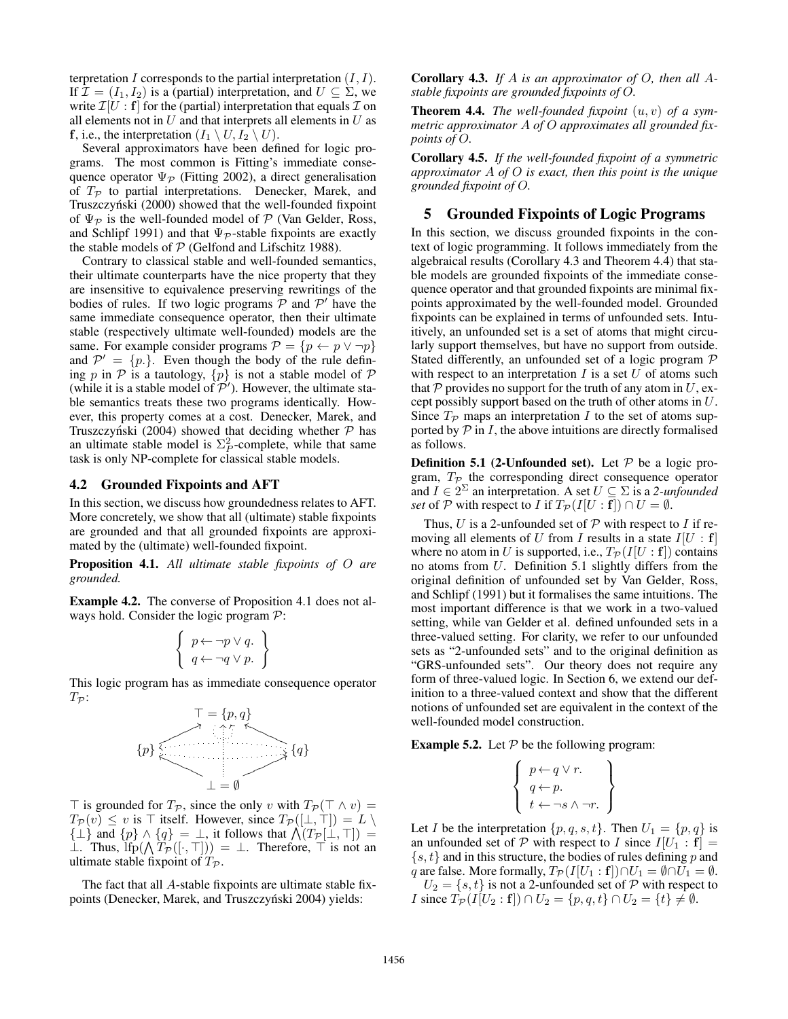terpretation I corresponds to the partial interpretation  $(I, I)$ . If  $\mathcal{I} = (I_1, I_2)$  is a (partial) interpretation, and  $U \subseteq \Sigma$ , we write  $\mathcal{I}[U : \mathbf{f}]$  for the (partial) interpretation that equals  $\mathcal{I}$  on all elements not in  $U$  and that interprets all elements in  $U$  as **f**, i.e., the interpretation  $(I_1 \setminus U, I_2 \setminus U)$ .

Several approximators have been defined for logic programs. The most common is Fitting's immediate consequence operator  $\Psi_{\mathcal{P}}$  (Fitting 2002), a direct generalisation of  $T_{\mathcal{P}}$  to partial interpretations. Denecker, Marek, and Truszczyński (2000) showed that the well-founded fixpoint of  $\Psi_{\mathcal{P}}$  is the well-founded model of  $\mathcal P$  (Van Gelder, Ross, and Schlipf 1991) and that  $\Psi_{\mathcal{P}}$ -stable fixpoints are exactly the stable models of  $P$  (Gelfond and Lifschitz 1988).

Contrary to classical stable and well-founded semantics, their ultimate counterparts have the nice property that they are insensitive to equivalence preserving rewritings of the bodies of rules. If two logic programs  $\overline{P}$  and  $\overline{P}'$  have the same immediate consequence operator, then their ultimate stable (respectively ultimate well-founded) models are the same. For example consider programs  $\mathcal{P} = \{p \leftarrow p \lor \neg p\}$ and  $\mathcal{P}' = \{p.\}$ . Even though the body of the rule defining p in  $P$  is a tautology,  $\{p\}$  is not a stable model of  $P$ (while it is a stable model of  $\mathcal{P}'$ ). However, the ultimate stable semantics treats these two programs identically. However, this property comes at a cost. Denecker, Marek, and Truszczyński (2004) showed that deciding whether  $\mathcal P$  has an ultimate stable model is  $\Sigma_P^2$ -complete, while that same task is only NP-complete for classical stable models.

#### 4.2 Grounded Fixpoints and AFT

In this section, we discuss how groundedness relates to AFT. More concretely, we show that all (ultimate) stable fixpoints are grounded and that all grounded fixpoints are approximated by the (ultimate) well-founded fixpoint.

Proposition 4.1. *All ultimate stable fixpoints of* O *are grounded.*

Example 4.2. The converse of Proposition 4.1 does not always hold. Consider the logic program  $P$ :

$$
\left\{\n \begin{array}{c}\n p \leftarrow \neg p \lor q. \\
q \leftarrow \neg q \lor p.\n \end{array}\n\right\}
$$

This logic program has as immediate consequence operator  $T_{\mathcal{P}}$ :



 $\top$  is grounded for  $T_{\mathcal{P}}$ , since the only v with  $T_{\mathcal{P}}(\top \wedge v) =$  $T_P(v) \le v$  is  $\top$  itself. However, since  $T_P([\bot, \top]) = L \setminus$  $\{\perp\}$  and  $\{p\} \wedge \{q\} = \perp$ , it follows that  $\mathcal{N}(T_{\mathcal{P}}[\perp, \top]) =$ ⊥. Thus,  $\text{Ifp}(\bigwedge T_{\mathcal{P}}([\cdot, \top])) = \bot$ . Therefore,  $\top$  is not an ultimate stable fixpoint of  $T_{\mathcal{P}}$ .

The fact that all A-stable fixpoints are ultimate stable fixpoints (Denecker, Marek, and Truszczyński 2004) yields:

Corollary 4.3. *If* A *is an approximator of* O*, then all* A*stable fixpoints are grounded fixpoints of* O*.*

Theorem 4.4. *The well-founded fixpoint* (u, v) *of a symmetric approximator* A *of* O *approximates all grounded fixpoints of* O*.*

Corollary 4.5. *If the well-founded fixpoint of a symmetric approximator* A *of* O *is exact, then this point is the unique grounded fixpoint of* O*.*

## 5 Grounded Fixpoints of Logic Programs

In this section, we discuss grounded fixpoints in the context of logic programming. It follows immediately from the algebraical results (Corollary 4.3 and Theorem 4.4) that stable models are grounded fixpoints of the immediate consequence operator and that grounded fixpoints are minimal fixpoints approximated by the well-founded model. Grounded fixpoints can be explained in terms of unfounded sets. Intuitively, an unfounded set is a set of atoms that might circularly support themselves, but have no support from outside. Stated differently, an unfounded set of a logic program P with respect to an interpretation  $I$  is a set  $U$  of atoms such that  $P$  provides no support for the truth of any atom in  $U$ , except possibly support based on the truth of other atoms in U. Since  $T_p$  maps an interpretation I to the set of atoms supported by  $P$  in  $I$ , the above intuitions are directly formalised as follows.

**Definition 5.1 (2-Unfounded set).** Let  $P$  be a logic program,  $T_{\mathcal{P}}$  the corresponding direct consequence operator and  $I \in 2^{\Sigma}$  an interpretation. A set  $U \subseteq \Sigma$  is a 2-unfounded *set* of P with respect to I if  $T_{\mathcal{P}}(I[U : f]) \cap U = \emptyset$ .

Thus, U is a 2-unfounded set of  $P$  with respect to I if removing all elements of U from I results in a state  $I[U : f]$ where no atom in U is supported, i.e.,  $T_{\mathcal{P}}(I[U : f])$  contains no atoms from U. Definition 5.1 slightly differs from the original definition of unfounded set by Van Gelder, Ross, and Schlipf (1991) but it formalises the same intuitions. The most important difference is that we work in a two-valued setting, while van Gelder et al. defined unfounded sets in a three-valued setting. For clarity, we refer to our unfounded sets as "2-unfounded sets" and to the original definition as "GRS-unfounded sets". Our theory does not require any form of three-valued logic. In Section 6, we extend our definition to a three-valued context and show that the different notions of unfounded set are equivalent in the context of the well-founded model construction.

**Example 5.2.** Let  $P$  be the following program:

$$
\left\{\n \begin{array}{c}\n p \leftarrow q \lor r. \\
q \leftarrow p. \\
t \leftarrow \neg s \land \neg r.\n \end{array}\n\right\}
$$

Let *I* be the interpretation  $\{p, q, s, t\}$ . Then  $U_1 = \{p, q\}$  is an unfounded set of P with respect to I since  $I[U_1 : f] =$  $\{s, t\}$  and in this structure, the bodies of rules defining p and q are false. More formally,  $T_{\mathcal{P}}(I[U_1 : f]) \cap U_1 = \emptyset \cap U_1 = \emptyset$ .

 $U_2 = \{s, t\}$  is not a 2-unfounded set of P with respect to *I* since  $T_P(I[U_2 : f]) \cap U_2 = \{p, q, t\} \cap U_2 = \{t\} \neq \emptyset$ .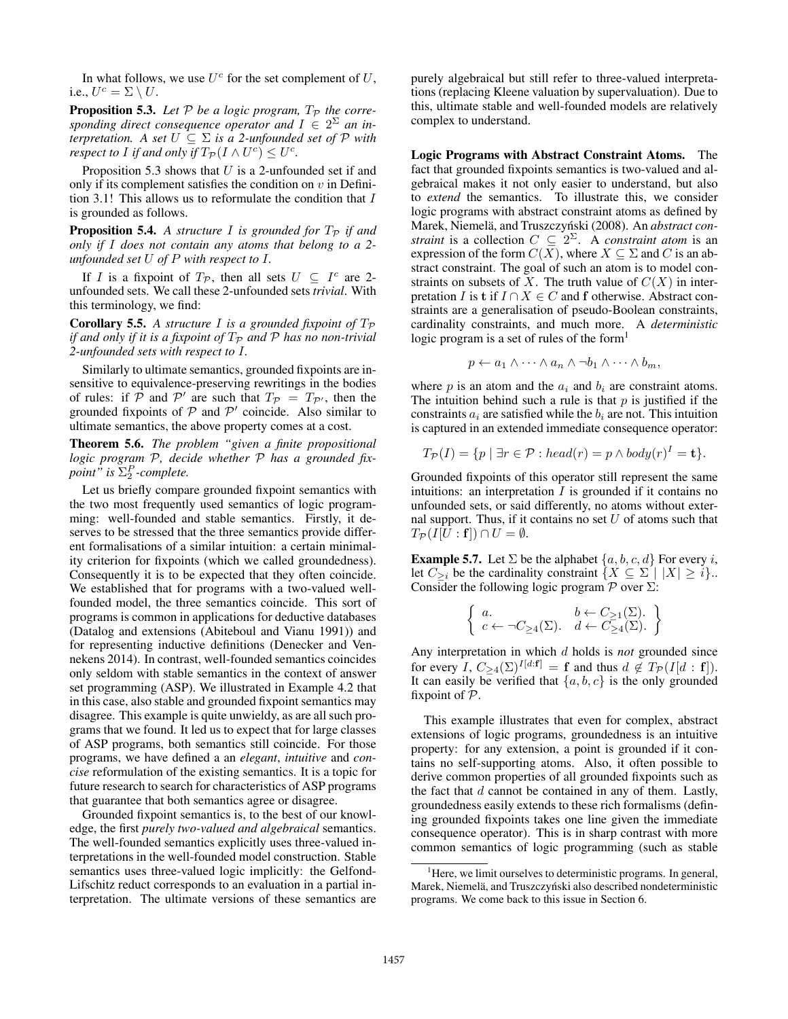In what follows, we use  $U^c$  for the set complement of  $U$ , i.e.,  $U^c = \Sigma \setminus U$ .

**Proposition 5.3.** Let  $P$  be a logic program,  $T_P$  the corresponding direct consequence operator and  $I \in 2^{\Sigma}$  an in*terpretation.* A set  $U \subseteq \Sigma$  *is a 2-unfounded set of*  $\mathcal P$  *with respect to I if and only if*  $T_{\mathcal{P}}(I \wedge U^c) \leq U^c$ .

Proposition 5.3 shows that  $U$  is a 2-unfounded set if and only if its complement satisfies the condition on  $v$  in Definition 3.1! This allows us to reformulate the condition that  $I$ is grounded as follows.

**Proposition 5.4.** A structure I is grounded for  $T_p$  if and *only if* I *does not contain any atoms that belong to a 2 unfounded set* U *of* P *with respect to* I*.*

If I is a fixpoint of  $T_p$ , then all sets  $U \subseteq I^c$  are 2unfounded sets. We call these 2-unfounded sets *trivial*. With this terminology, we find:

**Corollary 5.5.** A structure I is a grounded fixpoint of  $T_p$ *if and only if it is a fixpoint of*  $T_P$  *and*  $P$  *has no non-trivial 2-unfounded sets with respect to* I*.*

Similarly to ultimate semantics, grounded fixpoints are insensitive to equivalence-preserving rewritings in the bodies of rules: if  $\hat{\mathcal{P}}$  and  $\mathcal{P}'$  are such that  $T_{\mathcal{P}} = T_{\mathcal{P}'}$ , then the grounded fixpoints of  $P$  and  $P'$  coincide. Also similar to ultimate semantics, the above property comes at a cost.

Theorem 5.6. *The problem "given a finite propositional logic program* P*, decide whether* P *has a grounded fixpoint*" is  $\Sigma_2^P$ -complete.

Let us briefly compare grounded fixpoint semantics with the two most frequently used semantics of logic programming: well-founded and stable semantics. Firstly, it deserves to be stressed that the three semantics provide different formalisations of a similar intuition: a certain minimality criterion for fixpoints (which we called groundedness). Consequently it is to be expected that they often coincide. We established that for programs with a two-valued wellfounded model, the three semantics coincide. This sort of programs is common in applications for deductive databases (Datalog and extensions (Abiteboul and Vianu 1991)) and for representing inductive definitions (Denecker and Vennekens 2014). In contrast, well-founded semantics coincides only seldom with stable semantics in the context of answer set programming (ASP). We illustrated in Example 4.2 that in this case, also stable and grounded fixpoint semantics may disagree. This example is quite unwieldy, as are all such programs that we found. It led us to expect that for large classes of ASP programs, both semantics still coincide. For those programs, we have defined a an *elegant*, *intuitive* and *concise* reformulation of the existing semantics. It is a topic for future research to search for characteristics of ASP programs that guarantee that both semantics agree or disagree.

Grounded fixpoint semantics is, to the best of our knowledge, the first *purely two-valued and algebraical* semantics. The well-founded semantics explicitly uses three-valued interpretations in the well-founded model construction. Stable semantics uses three-valued logic implicitly: the Gelfond-Lifschitz reduct corresponds to an evaluation in a partial interpretation. The ultimate versions of these semantics are purely algebraical but still refer to three-valued interpretations (replacing Kleene valuation by supervaluation). Due to this, ultimate stable and well-founded models are relatively complex to understand.

Logic Programs with Abstract Constraint Atoms. The fact that grounded fixpoints semantics is two-valued and algebraical makes it not only easier to understand, but also to *extend* the semantics. To illustrate this, we consider logic programs with abstract constraint atoms as defined by Marek, Niemelä, and Truszczyński (2008). An abstract con*straint* is a collection  $C \subseteq 2^{\Sigma}$ . A *constraint atom* is an expression of the form  $C(X)$ , where  $X \subseteq \Sigma$  and C is an abstract constraint. The goal of such an atom is to model constraints on subsets of X. The truth value of  $C(X)$  in interpretation I is t if  $I \cap X \in C$  and f otherwise. Abstract constraints are a generalisation of pseudo-Boolean constraints, cardinality constraints, and much more. A *deterministic* logic program is a set of rules of the form<sup>1</sup>

$$
p \leftarrow a_1 \wedge \cdots \wedge a_n \wedge \neg b_1 \wedge \cdots \wedge b_m,
$$

where  $p$  is an atom and the  $a_i$  and  $b_i$  are constraint atoms. The intuition behind such a rule is that  $p$  is justified if the constraints  $a_i$  are satisfied while the  $b_i$  are not. This intuition is captured in an extended immediate consequence operator:

$$
T_{\mathcal{P}}(I) = \{p \mid \exists r \in \mathcal{P} : head(r) = p \land body(r)^{I} = \mathbf{t}\}.
$$

Grounded fixpoints of this operator still represent the same intuitions: an interpretation  $I$  is grounded if it contains no unfounded sets, or said differently, no atoms without external support. Thus, if it contains no set  $U$  of atoms such that  $T_{\mathcal{P}}(I[U:\mathbf{f}])\cap U=\emptyset.$ 

**Example 5.7.** Let  $\Sigma$  be the alphabet  $\{a, b, c, d\}$  For every *i*, let  $C_{\geq i}$  be the cardinality constraint  $\{X \subseteq \Sigma \mid |X| \geq i\}$ . Consider the following logic program  $\mathcal P$  over  $\Sigma$ :

$$
\left\{\n \begin{array}{ll}\n a. & b \leftarrow C_{\geq 1}(\Sigma). \\
c \leftarrow \neg C_{\geq 4}(\Sigma). & d \leftarrow C_{\geq 4}(\Sigma).\n \end{array}\n\right\}
$$

Any interpretation in which d holds is *not* grounded since for every I,  $C_{\geq 4}(\Sigma)^{I[d:\mathbf{f}]} = \mathbf{f}$  and thus  $d \notin T_{\mathcal{P}}(I[d:\mathbf{f}]).$ It can easily be verified that  $\{a, b, c\}$  is the only grounded fixpoint of  $P$ .

This example illustrates that even for complex, abstract extensions of logic programs, groundedness is an intuitive property: for any extension, a point is grounded if it contains no self-supporting atoms. Also, it often possible to derive common properties of all grounded fixpoints such as the fact that  $d$  cannot be contained in any of them. Lastly, groundedness easily extends to these rich formalisms (defining grounded fixpoints takes one line given the immediate consequence operator). This is in sharp contrast with more common semantics of logic programming (such as stable

 $<sup>1</sup>$  Here, we limit ourselves to deterministic programs. In general,</sup> Marek, Niemelä, and Truszczyński also described nondeterministic programs. We come back to this issue in Section 6.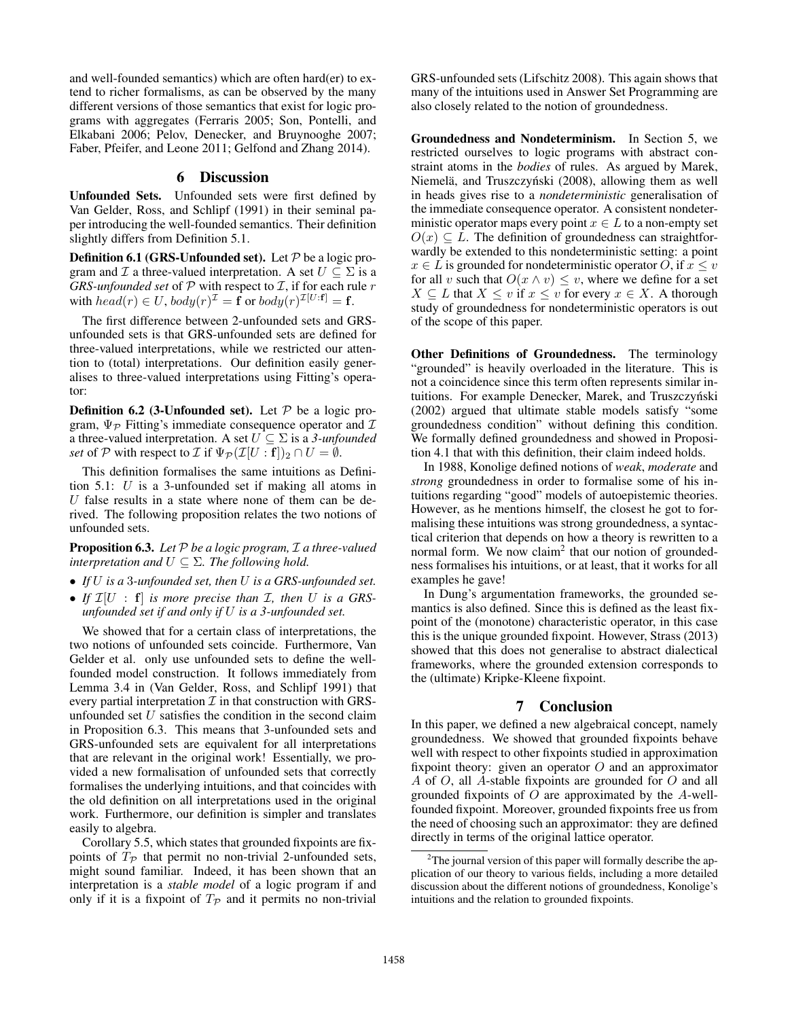and well-founded semantics) which are often hard(er) to extend to richer formalisms, as can be observed by the many different versions of those semantics that exist for logic programs with aggregates (Ferraris 2005; Son, Pontelli, and Elkabani 2006; Pelov, Denecker, and Bruynooghe 2007; Faber, Pfeifer, and Leone 2011; Gelfond and Zhang 2014).

# 6 Discussion

Unfounded Sets. Unfounded sets were first defined by Van Gelder, Ross, and Schlipf (1991) in their seminal paper introducing the well-founded semantics. Their definition slightly differs from Definition 5.1.

**Definition 6.1 (GRS-Unfounded set).** Let  $P$  be a logic program and  $\mathcal I$  a three-valued interpretation. A set  $U \subseteq \Sigma$  is a *GRS-unfounded set* of  $P$  with respect to  $I$ , if for each rule  $r$ with  $head(r) \in U$ ,  $body(r)^{\mathcal{I}} = \mathbf{f}$  or  $body(r)^{\mathcal{I}[U:\mathbf{f}]} = \mathbf{f}$ .

The first difference between 2-unfounded sets and GRSunfounded sets is that GRS-unfounded sets are defined for three-valued interpretations, while we restricted our attention to (total) interpretations. Our definition easily generalises to three-valued interpretations using Fitting's operator:

**Definition 6.2 (3-Unfounded set).** Let  $P$  be a logic program,  $\Psi_{\mathcal{P}}$  Fitting's immediate consequence operator and  $\mathcal I$ a three-valued interpretation. A set  $U \subseteq \Sigma$  is a 3-unfounded *set* of P with respect to I if  $\Psi_{\mathcal{P}}(\mathcal{I}[U:\mathbf{f}])_2 \cap U = \emptyset$ .

This definition formalises the same intuitions as Definition 5.1: U is a 3-unfounded set if making all atoms in  $U$  false results in a state where none of them can be derived. The following proposition relates the two notions of unfounded sets.

Proposition 6.3. *Let* P *be a logic program,* I *a three-valued interpretation and*  $U \subseteq \Sigma$ *. The following hold.* 

- *If* U *is a* 3*-unfounded set, then* U *is a GRS-unfounded set.*
- If  $\mathcal{I}[U : f]$  *is more precise than*  $\mathcal{I}$ *, then*  $U$  *is a GRSunfounded set if and only if* U *is a 3-unfounded set.*

We showed that for a certain class of interpretations, the two notions of unfounded sets coincide. Furthermore, Van Gelder et al. only use unfounded sets to define the wellfounded model construction. It follows immediately from Lemma 3.4 in (Van Gelder, Ross, and Schlipf 1991) that every partial interpretation  $\mathcal I$  in that construction with GRSunfounded set  $U$  satisfies the condition in the second claim in Proposition 6.3. This means that 3-unfounded sets and GRS-unfounded sets are equivalent for all interpretations that are relevant in the original work! Essentially, we provided a new formalisation of unfounded sets that correctly formalises the underlying intuitions, and that coincides with the old definition on all interpretations used in the original work. Furthermore, our definition is simpler and translates easily to algebra.

Corollary 5.5, which states that grounded fixpoints are fixpoints of  $T_{\mathcal{P}}$  that permit no non-trivial 2-unfounded sets, might sound familiar. Indeed, it has been shown that an interpretation is a *stable model* of a logic program if and only if it is a fixpoint of  $T_p$  and it permits no non-trivial

GRS-unfounded sets (Lifschitz 2008). This again shows that many of the intuitions used in Answer Set Programming are also closely related to the notion of groundedness.

Groundedness and Nondeterminism. In Section 5, we restricted ourselves to logic programs with abstract constraint atoms in the *bodies* of rules. As argued by Marek, Niemelä, and Truszczyński (2008), allowing them as well in heads gives rise to a *nondeterministic* generalisation of the immediate consequence operator. A consistent nondeterministic operator maps every point  $x \in L$  to a non-empty set  $O(x) \subseteq L$ . The definition of groundedness can straightforwardly be extended to this nondeterministic setting: a point  $x \in L$  is grounded for nondeterministic operator O, if  $x \leq v$ for all v such that  $O(x \wedge v) \leq v$ , where we define for a set  $X \subseteq L$  that  $X \le v$  if  $x \le v$  for every  $x \in X$ . A thorough study of groundedness for nondeterministic operators is out of the scope of this paper.

Other Definitions of Groundedness. The terminology "grounded" is heavily overloaded in the literature. This is not a coincidence since this term often represents similar intuitions. For example Denecker, Marek, and Truszczyński (2002) argued that ultimate stable models satisfy "some groundedness condition" without defining this condition. We formally defined groundedness and showed in Proposition 4.1 that with this definition, their claim indeed holds.

In 1988, Konolige defined notions of *weak*, *moderate* and *strong* groundedness in order to formalise some of his intuitions regarding "good" models of autoepistemic theories. However, as he mentions himself, the closest he got to formalising these intuitions was strong groundedness, a syntactical criterion that depends on how a theory is rewritten to a normal form. We now claim<sup>2</sup> that our notion of groundedness formalises his intuitions, or at least, that it works for all examples he gave!

In Dung's argumentation frameworks, the grounded semantics is also defined. Since this is defined as the least fixpoint of the (monotone) characteristic operator, in this case this is the unique grounded fixpoint. However, Strass (2013) showed that this does not generalise to abstract dialectical frameworks, where the grounded extension corresponds to the (ultimate) Kripke-Kleene fixpoint.

# 7 Conclusion

In this paper, we defined a new algebraical concept, namely groundedness. We showed that grounded fixpoints behave well with respect to other fixpoints studied in approximation fixpoint theory: given an operator  $O$  and an approximator A of O, all A-stable fixpoints are grounded for O and all grounded fixpoints of  $O$  are approximated by the  $A$ -wellfounded fixpoint. Moreover, grounded fixpoints free us from the need of choosing such an approximator: they are defined directly in terms of the original lattice operator.

 $2$ The journal version of this paper will formally describe the application of our theory to various fields, including a more detailed discussion about the different notions of groundedness, Konolige's intuitions and the relation to grounded fixpoints.